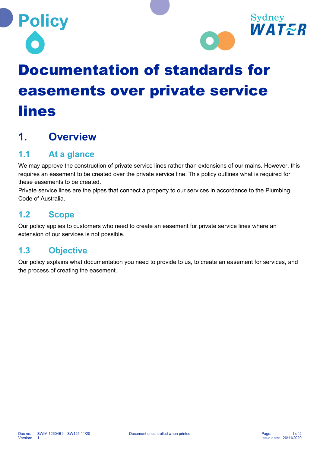

# Documentation of standards for easements over private service lines

## 1. Overview

**Policy** 

## 1.1 At a glance

We may approve the construction of private service lines rather than extensions of our mains. However, this requires an easement to be created over the private service line. This policy outlines what is required for these easements to be created.

Private service lines are the pipes that connect a property to our services in accordance to the Plumbing Code of Australia.

## 1.2 Scope

Our policy applies to customers who need to create an easement for private service lines where an extension of our services is not possible.

## 1.3 Objective

Our policy explains what documentation you need to provide to us, to create an easement for services, and the process of creating the easement.